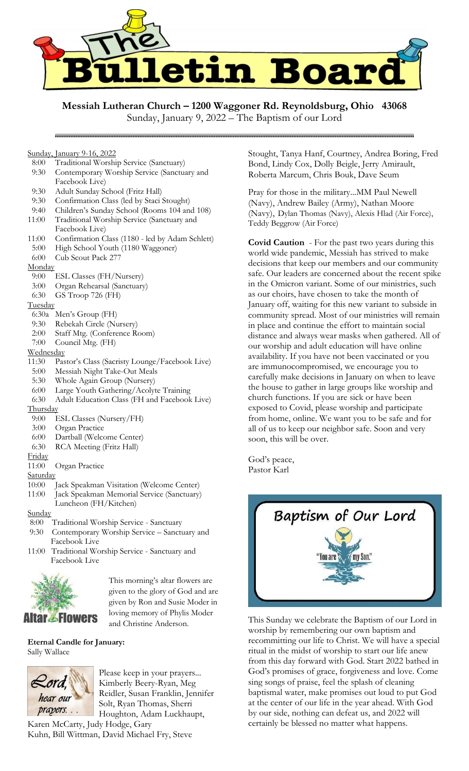

**Messiah Lutheran Church – 1200 Waggoner Rd. Reynoldsburg, Ohio 43068**

Sunday, January 9-16, 2022

- 8:00 Traditional Worship Service (Sanctuary)
- 9:30 Contemporary Worship Service (Sanctuary and Facebook Live)
- 9:30 Adult Sunday School (Fritz Hall)

- 9:30 Confirmation Class (led by Staci Stought)
- 9:40 Children's Sunday School (Rooms 104 and 108)
- 11:00 Traditional Worship Service (Sanctuary and
- Facebook Live)
- 11:00 Confirmation Class (1180 led by Adam Schlett)
- 5:00 High School Youth (1180 Waggoner)
- 6:00 Cub Scout Pack 277
- **Monday**
- 9:00 ESL Classes (FH/Nursery)
- 3:00 Organ Rehearsal (Sanctuary)
- 6:30 GS Troop 726 (FH)
- **Tuesday**
- 6:30a Men's Group (FH)
- 9:30 Rebekah Circle (Nursery)
- 2:00 Staff Mtg. (Conference Room)
- 7:00 Council Mtg. (FH)
- **Wednesday**
- 11:30 Pastor's Class (Sacristy Lounge/Facebook Live)
- 5:00 Messiah Night Take-Out Meals
- 5:30 Whole Again Group (Nursery)
- 6:00 Large Youth Gathering/Acolyte Training
- 6:30 Adult Education Class (FH and Facebook Live) **Thursday**
- 
- 9:00 ESL Classes (Nursery/FH)
- 3:00 Organ Practice
- 6:00 Dartball (Welcome Center) 6:30 RCA Meeting (Fritz Hall)
- 
- Friday
- 11:00 Organ Practice
- **Saturday**
- 10:00 Jack Speakman Visitation (Welcome Center)
- 11:00 Jack Speakman Memorial Service (Sanctuary) Luncheon (FH/Kitchen)
- **Sunday**
- 8:00 Traditional Worship Service Sanctuary
- 9:30 Contemporary Worship Service Sanctuary and Facebook Live
- 11:00 Traditional Worship Service Sanctuary and Facebook Live



This morning's altar flowers are given to the glory of God and are given by Ron and Susie Moder in loving memory of Phylis Moder and Christine Anderson.

## **Eternal Candle for January:**  Sally Wallace



Please keep in your prayers... Kimberly Beery-Ryan, Meg Reidler, Susan Franklin, Jennifer Solt, Ryan Thomas, Sherri Houghton, Adam Luckhaupt,

Karen McCarty, Judy Hodge, Gary Kuhn, Bill Wittman, David Michael Fry, Steve Stought, Tanya Hanf, Courtney, Andrea Boring, Fred Bond, Lindy Cox, Dolly Beigle, Jerry Amirault, Roberta Marcum, Chris Bouk, Dave Seum

Pray for those in the military...MM Paul Newell (Navy), Andrew Bailey (Army), Nathan Moore (Navy), Dylan Thomas (Navy), Alexis Hlad (Air Force), Teddy Beggrow (Air Force)

**Covid Caution** - For the past two years during this world wide pandemic, Messiah has strived to make decisions that keep our members and our community safe. Our leaders are concerned about the recent spike in the Omicron variant. Some of our ministries, such as our choirs, have chosen to take the month of January off, waiting for this new variant to subside in community spread. Most of our ministries will remain in place and continue the effort to maintain social distance and always wear masks when gathered. All of our worship and adult education will have online availability. If you have not been vaccinated or you are immunocompromised, we encourage you to carefully make decisions in January on when to leave the house to gather in large groups like worship and church functions. If you are sick or have been exposed to Covid, please worship and participate from home, online. We want you to be safe and for all of us to keep our neighbor safe. Soon and very soon, this will be over.

God's peace, Pastor Karl



This Sunday we celebrate the Baptism of our Lord in worship by remembering our own baptism and recommitting our life to Christ. We will have a special ritual in the midst of worship to start our life anew from this day forward with God. Start 2022 bathed in God's promises of grace, forgiveness and love. Come sing songs of praise, feel the splash of cleaning baptismal water, make promises out loud to put God at the center of our life in the year ahead. With God by our side, nothing can defeat us, and 2022 will certainly be blessed no matter what happens.

Sunday, January 9, 2022 – The Baptism of our Lord